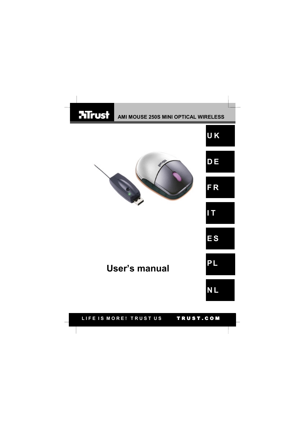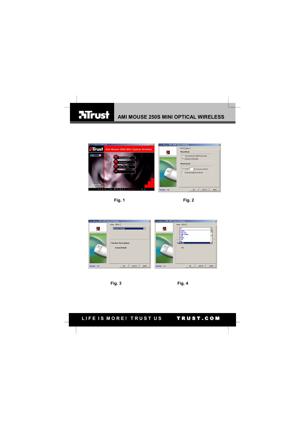### **HTrust AMI MOUSE 250S MINI OPTICAL WIRELESS**







 **Fig. 3 Fig. 4**

### LIFE IS MORE! TRUST US TRUST.COM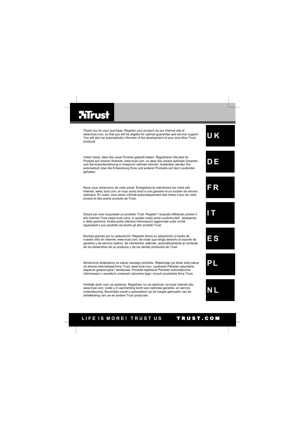## **Hirust**

products.

gehalten.

**E S U K D E F R I T PL** Thank you for your purchase. Register your product via our Internet site at<br>www.trust.com, so that you will be eligible for optimal guarantee and service support.<br>You will also be automatically informed of the development Vielen Dank, dass Sie unser Produkt gekauft haben. Registrieren Sie jetzt ihr Produkt auf unserer Website, www.trust.com, so dass Sie unsere optimale Garantieund Serviceunterstützung in Anspruch nehmen können. Außerdem werden Sie automatisch über die Entwicklung Ihres und anderer Produkte auf dem Laufenden Nous vous remercions de votre achat. Enregistrez-le maintenant sur notre site Internet, www;.trust.com. et vous aurez droit à une garantie et un soutien de service optimaux. En outre, vous serez informé automatiquement des mises à jour de votre produit et des autres produits de Trust. Grazie per aver acquistato un prodotto Trust. Registri l' acquisto effettuato presso il sito internet Trust (www.trust.com), in questo modo potrà usufruire dell' assistenza e della garanzia. Inoltre potrà ottenere informazioni aggiornate sulle novità riguardanti il suo prodotto ed anche gli altri prodotti Trust. Muchas gracias por su adquisición. Registre ahora su adquisición a través de nuestro sitio en Internet, www.trust.com, de modo que tenga derecho al soporte de garantía y de servicio óptimo. Se mantendrá, además, automáticamente al corriente de los desarrollos de su producto y de los demás productos de Trust. Serdecznie dziękujemy za zakup naszego produktu. Rejestrując już teraz swój zakup na stronie internetowej firmy Trust, www.trust.com, uzyskacie Państwo optymalne<br>wsparcie gwarancyjne i serwisowe. Ponadto będziecie Państwo automatycznie<br>informowani o wszelkich zmianach odnośnie tego i innych produktów fi

Hartelijk dank voor uw aankoop. Registreer nu uw aankoop via onze internet site, www.trust.com, zodat u in aanmerking komt voor optimale garantie- en service ondersteuning. Bovendien wordt u automatisch op de hoogte gehouden van de ontwikkeling van uw en andere Trust producten.

## LIFE IS MORE! TRUST US TRUST.COM